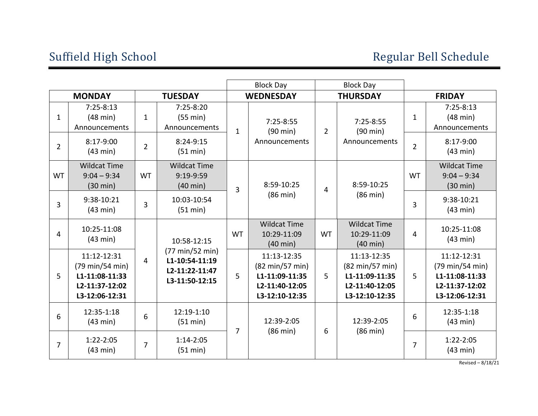|                |                                                                                      | <b>Block Day</b> |                                                                       | <b>Block Day</b> |                                                                                                        |                 |                                                                                      |                |                                                                                                        |
|----------------|--------------------------------------------------------------------------------------|------------------|-----------------------------------------------------------------------|------------------|--------------------------------------------------------------------------------------------------------|-----------------|--------------------------------------------------------------------------------------|----------------|--------------------------------------------------------------------------------------------------------|
| <b>MONDAY</b>  |                                                                                      | <b>TUESDAY</b>   |                                                                       | <b>WEDNESDAY</b> |                                                                                                        | <b>THURSDAY</b> |                                                                                      | <b>FRIDAY</b>  |                                                                                                        |
| 1              | $7:25-8:13$<br>$(48 \text{ min})$<br>Announcements                                   | $\mathbf{1}$     | $7:25-8:20$<br>(55 min)<br>Announcements                              | $\mathbf{1}$     | $7:25-8:55$<br>$(90 \text{ min})$                                                                      | $\overline{2}$  | $7:25-8:55$<br>$(90 \text{ min})$                                                    | 1              | $7:25-8:13$<br>$(48 \text{ min})$<br>Announcements                                                     |
| $\overline{2}$ | 8:17-9:00<br>(43 min)                                                                | $\overline{2}$   | $8:24-9:15$<br>(51 min)                                               |                  | Announcements                                                                                          |                 | Announcements                                                                        | $\overline{2}$ | 8:17-9:00<br>(43 min)                                                                                  |
| <b>WT</b>      | <b>Wildcat Time</b><br>$9:04 - 9:34$<br>$(30 \text{ min})$                           | <b>WT</b>        | <b>Wildcat Time</b><br>9:19-9:59<br>$(40 \text{ min})$                | $\overline{3}$   | 8:59-10:25<br>$(86 \text{ min})$                                                                       | 4               | 8:59-10:25<br>$(86 \text{ min})$                                                     | <b>WT</b>      | <b>Wildcat Time</b><br>$9:04 - 9:34$<br>$(30 \text{ min})$                                             |
| 3              | 9:38-10:21<br>(43 min)                                                               | 3                | 10:03-10:54<br>(51 min)                                               |                  |                                                                                                        |                 |                                                                                      | 3              | 9:38-10:21<br>(43 min)                                                                                 |
| 4              | 10:25-11:08<br>(43 min)                                                              |                  | 10:58-12:15                                                           | <b>WT</b>        | <b>Wildcat Time</b><br>10:29-11:09<br>$(40 \text{ min})$                                               | <b>WT</b>       | <b>Wildcat Time</b><br>10:29-11:09<br>$(40 \text{ min})$                             | $\overline{4}$ | 10:25-11:08<br>(43 min)                                                                                |
| 5              | 11:12-12:31<br>(79 min/54 min)<br>L1-11:08-11:33<br>L2-11:37-12:02<br>L3-12:06-12:31 | 4                | (77 min/52 min)<br>L1-10:54-11:19<br>L2-11:22-11:47<br>L3-11:50-12:15 | 5                | 11:13-12:35<br>$(82 \text{ min}/57 \text{ min})$<br>L1-11:09-11:35<br>L2-11:40-12:05<br>L3-12:10-12:35 | 5               | 11:13-12:35<br>(82 min/57 min)<br>L1-11:09-11:35<br>L2-11:40-12:05<br>L3-12:10-12:35 | 5              | 11:12-12:31<br>$(79 \text{ min}/54 \text{ min})$<br>L1-11:08-11:33<br>L2-11:37-12:02<br>L3-12:06-12:31 |
| 6              | 12:35-1:18<br>(43 min)                                                               | 6                | 12:19-1:10<br>(51 min)                                                | $\overline{7}$   | 12:39-2:05<br>$(86 \text{ min})$                                                                       | 6               | 12:39-2:05<br>$(86 \text{ min})$                                                     | 6              | 12:35-1:18<br>(43 min)                                                                                 |
| $\overline{7}$ | $1:22-2:05$<br>(43 min)                                                              | $\overline{7}$   | $1:14-2:05$<br>(51 min)                                               |                  |                                                                                                        |                 |                                                                                      | $\overline{7}$ | $1:22-2:05$<br>(43 min)                                                                                |
|                |                                                                                      |                  |                                                                       |                  |                                                                                                        |                 |                                                                                      |                | Revised - 8/18/21                                                                                      |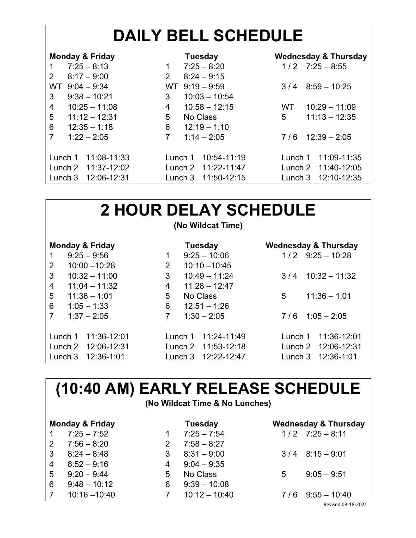# **DAILY BELL SCHEDULE**

| <b>Monday &amp; Friday</b> | <b>Tuesday</b>                  | <b>Wednesday &amp; Thursday</b> |  |  |
|----------------------------|---------------------------------|---------------------------------|--|--|
| $7:25 - 8:13$              | $7:25 - 8:20$<br>1              | $1/2$ $7:25 - 8:55$             |  |  |
| 2<br>$8:17 - 9:00$         | $8:24 - 9:15$<br>$\overline{2}$ |                                 |  |  |
| $9:04 - 9:34$<br>WT        | $9:19 - 9:59$<br>WT .           | $8:59 - 10:25$<br>3/4           |  |  |
| 3<br>$9:38 - 10:21$        | $10:03 - 10:54$<br>3            |                                 |  |  |
| 4<br>$10:25 - 11:08$       | $10:58 - 12:15$<br>4            | $10:29 - 11:09$<br>WT.          |  |  |
| 5<br>$11:12 - 12:31$       | 5<br>No Class                   | $11:13 - 12:35$<br>5            |  |  |
| 6<br>$12:35 - 1:18$        | 6<br>$12:19 - 1:10$             |                                 |  |  |
| 7<br>$1:22 - 2:05$         | 7<br>$1:14 - 2:05$              | $12:39 - 2:05$<br>7/6           |  |  |
|                            |                                 |                                 |  |  |
| 11:08-11:33<br>Lunch 1     | 10:54-11:19<br>Lunch 1          | 11:09-11:35<br>Lunch 1          |  |  |
| Lunch 2 11:37-12:02        | Lunch 2 11:22-11:47             | Lunch 2 11:40-12:05             |  |  |
| 12:06-12:31<br>Lunch 3     | 11:50-12:15<br>Lunch $3$        | 12:10-12:35<br>Lunch $3$        |  |  |

## **2 HOUR DELAY SCHEDULE**

### **(No Wildcat Time)**

| <b>Monday &amp; Friday</b> |               |                     |   | Tuesday        |                     |   | <b>Wednesday &amp; Thursday</b> |                     |  |
|----------------------------|---------------|---------------------|---|----------------|---------------------|---|---------------------------------|---------------------|--|
| 1                          | $9:25 - 9:56$ |                     | 1 |                | $9:25 - 10:06$      |   |                                 | $1/2$ 9:25 - 10:28  |  |
| 2                          |               | $10:00 - 10:28$     | 2 |                | $10:10 - 10:45$     |   |                                 |                     |  |
| 3                          |               | $10:32 - 11:00$     | 3 |                | $10:49 - 11:24$     |   | 3/4                             | $10:32 - 11:32$     |  |
| $\overline{4}$             |               | $11:04 - 11:32$     | 4 |                | $11:28 - 12:47$     |   |                                 |                     |  |
| 5<br>$11:36 - 1:01$        |               |                     | 5 |                | No Class            | 5 |                                 | $11:36 - 1:01$      |  |
| 6<br>$1:05 - 1:33$         |               | 6                   |   | $12:51 - 1:26$ |                     |   |                                 |                     |  |
| 7<br>$1:37 - 2:05$         |               | 7                   |   | $1:30 - 2:05$  |                     |   | $7/6$ 1:05 - 2:05               |                     |  |
|                            |               |                     |   |                |                     |   |                                 |                     |  |
|                            |               | Lunch 1 11:36-12:01 |   |                | Lunch 1 11:24-11:49 |   |                                 | Lunch 1 11:36-12:01 |  |
|                            |               | Lunch 2 12:06-12:31 |   |                | Lunch 2 11:53-12:18 |   |                                 | Lunch 2 12:06-12:31 |  |
|                            |               | Lunch 3 12:36-1:01  |   | Lunch 3        | 12:22-12:47         |   |                                 | Lunch 3 12:36-1:01  |  |

### **(10:40 AM) EARLY RELEASE SCHEDULE**

#### **(No Wildcat Time & No Lunches)**

| <b>Monday &amp; Friday</b> |                 |   | <b>Tuesday</b>  | <b>Wednesday &amp; Thursday</b> |                     |  |
|----------------------------|-----------------|---|-----------------|---------------------------------|---------------------|--|
|                            | $7:25 - 7:52$   |   | $7:25 - 7:54$   |                                 | $1/2$ $7:25 - 8:11$ |  |
| 2                          | $7:56 - 8:20$   |   | $7:58 - 8:27$   |                                 |                     |  |
| $\vert 3 \vert$            | $8:24 - 8:48$   | 3 | $8:31 - 9:00$   |                                 | $3/4$ $8:15-9:01$   |  |
| $\overline{4}$             | $8:52 - 9:16$   | 4 | $9:04 - 9:35$   |                                 |                     |  |
| 5                          | $9:20 - 9:44$   | 5 | No Class        | 5                               | $9:05 - 9:51$       |  |
| 6                          | $9:48 - 10:12$  | 6 | $9:39 - 10:08$  |                                 |                     |  |
| $\overline{7}$             | $10:16 - 10:40$ |   | $10:12 - 10:40$ | 7/6                             | $9:55 - 10:40$      |  |

Revised 08-18-2021